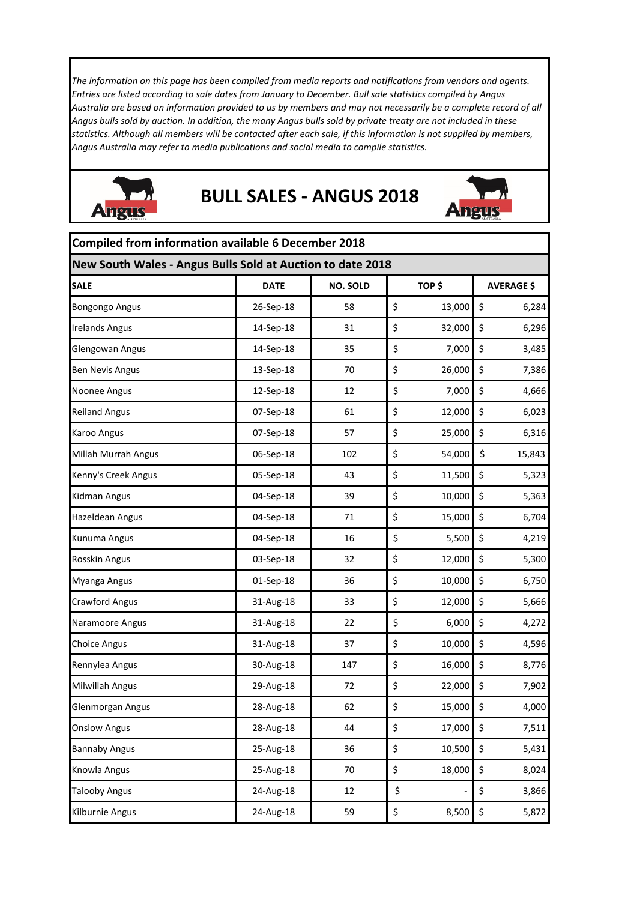*The information on this page has been compiled from media reports and notifications from vendors and agents. Entries are listed according to sale dates from January to December. Bull sale statistics compiled by Angus Australia are based on information provided to us by members and may not necessarily be a complete record of all Angus bulls sold by auction. In addition, the many Angus bulls sold by private treaty are not included in these statistics. Although all members will be contacted after each sale, if this information is not supplied by members, Angus Australia may refer to media publications and social media to compile statistics.* 



## **BULL SALES ‐ ANGUS 2018**



|                                                            | Compiled from information available 6 December 2018 |                 |    |        |                   |  |  |  |
|------------------------------------------------------------|-----------------------------------------------------|-----------------|----|--------|-------------------|--|--|--|
| New South Wales - Angus Bulls Sold at Auction to date 2018 |                                                     |                 |    |        |                   |  |  |  |
| <b>SALE</b>                                                | <b>DATE</b>                                         | <b>NO. SOLD</b> |    | TOP\$  | <b>AVERAGE \$</b> |  |  |  |
| <b>Bongongo Angus</b>                                      | 26-Sep-18                                           | 58              | \$ | 13,000 | \$<br>6,284       |  |  |  |
| <b>Irelands Angus</b>                                      | 14-Sep-18                                           | 31              | \$ | 32,000 | \$<br>6,296       |  |  |  |
| Glengowan Angus                                            | 14-Sep-18                                           | 35              | \$ | 7,000  | \$<br>3,485       |  |  |  |
| <b>Ben Nevis Angus</b>                                     | 13-Sep-18                                           | 70              | \$ | 26,000 | \$<br>7,386       |  |  |  |
| Noonee Angus                                               | 12-Sep-18                                           | 12              | \$ | 7,000  | \$<br>4,666       |  |  |  |
| <b>Reiland Angus</b>                                       | 07-Sep-18                                           | 61              | \$ | 12,000 | \$<br>6,023       |  |  |  |
| Karoo Angus                                                | 07-Sep-18                                           | 57              | \$ | 25,000 | \$<br>6,316       |  |  |  |
| Millah Murrah Angus                                        | 06-Sep-18                                           | 102             | \$ | 54,000 | \$<br>15,843      |  |  |  |
| Kenny's Creek Angus                                        | 05-Sep-18                                           | 43              | \$ | 11,500 | \$<br>5,323       |  |  |  |
| Kidman Angus                                               | 04-Sep-18                                           | 39              | \$ | 10,000 | \$<br>5,363       |  |  |  |
| <b>Hazeldean Angus</b>                                     | 04-Sep-18                                           | 71              | \$ | 15,000 | \$<br>6,704       |  |  |  |
| Kunuma Angus                                               | 04-Sep-18                                           | 16              | \$ | 5,500  | \$<br>4,219       |  |  |  |
| Rosskin Angus                                              | 03-Sep-18                                           | 32              | \$ | 12,000 | \$<br>5,300       |  |  |  |
| Myanga Angus                                               | 01-Sep-18                                           | 36              | \$ | 10,000 | \$<br>6,750       |  |  |  |
| <b>Crawford Angus</b>                                      | 31-Aug-18                                           | 33              | \$ | 12,000 | \$<br>5,666       |  |  |  |
| Naramoore Angus                                            | 31-Aug-18                                           | 22              | \$ | 6,000  | \$<br>4,272       |  |  |  |
| <b>Choice Angus</b>                                        | 31-Aug-18                                           | 37              | \$ | 10,000 | \$<br>4,596       |  |  |  |
| Rennylea Angus                                             | 30-Aug-18                                           | 147             | \$ | 16,000 | \$<br>8,776       |  |  |  |
| <b>Milwillah Angus</b>                                     | 29-Aug-18                                           | 72              | \$ | 22,000 | \$<br>7,902       |  |  |  |
| Glenmorgan Angus                                           | 28-Aug-18                                           | 62              | \$ | 15,000 | \$<br>4,000       |  |  |  |
| <b>Onslow Angus</b>                                        | 28-Aug-18                                           | 44              | \$ | 17,000 | \$<br>7,511       |  |  |  |
| <b>Bannaby Angus</b>                                       | 25-Aug-18                                           | 36              | \$ | 10,500 | \$<br>5,431       |  |  |  |
| Knowla Angus                                               | 25-Aug-18                                           | 70              | \$ | 18,000 | \$<br>8,024       |  |  |  |
| <b>Talooby Angus</b>                                       | 24-Aug-18                                           | 12              | \$ |        | \$<br>3,866       |  |  |  |
| Kilburnie Angus                                            | 24-Aug-18                                           | 59              | \$ | 8,500  | \$<br>5,872       |  |  |  |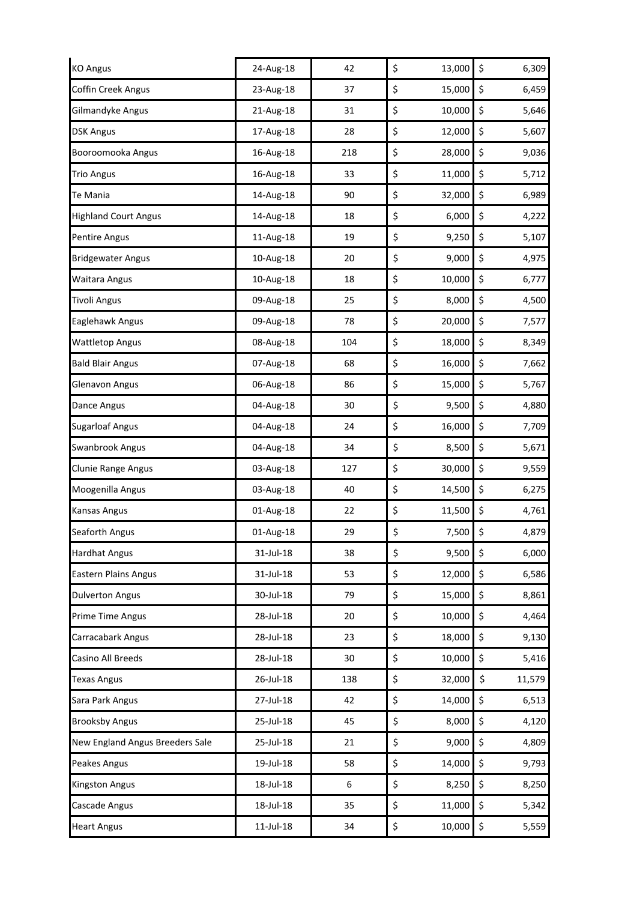| <b>KO Angus</b>                 | 24-Aug-18 | 42  | \$<br>13,000 | \$<br>6,309  |
|---------------------------------|-----------|-----|--------------|--------------|
| <b>Coffin Creek Angus</b>       | 23-Aug-18 | 37  | \$<br>15,000 | \$<br>6,459  |
| Gilmandyke Angus                | 21-Aug-18 | 31  | \$<br>10,000 | \$<br>5,646  |
| <b>DSK Angus</b>                | 17-Aug-18 | 28  | \$<br>12,000 | \$<br>5,607  |
| Booroomooka Angus               | 16-Aug-18 | 218 | \$<br>28,000 | \$<br>9,036  |
| <b>Trio Angus</b>               | 16-Aug-18 | 33  | \$<br>11,000 | \$<br>5,712  |
| Te Mania                        | 14-Aug-18 | 90  | \$<br>32,000 | \$<br>6,989  |
| <b>Highland Court Angus</b>     | 14-Aug-18 | 18  | \$<br>6,000  | \$<br>4,222  |
| Pentire Angus                   | 11-Aug-18 | 19  | \$<br>9,250  | \$<br>5,107  |
| <b>Bridgewater Angus</b>        | 10-Aug-18 | 20  | \$<br>9,000  | \$<br>4,975  |
| Waitara Angus                   | 10-Aug-18 | 18  | \$<br>10,000 | \$<br>6,777  |
| <b>Tivoli Angus</b>             | 09-Aug-18 | 25  | \$<br>8,000  | \$<br>4,500  |
| Eaglehawk Angus                 | 09-Aug-18 | 78  | \$<br>20,000 | \$<br>7,577  |
| <b>Wattletop Angus</b>          | 08-Aug-18 | 104 | \$<br>18,000 | \$<br>8,349  |
| <b>Bald Blair Angus</b>         | 07-Aug-18 | 68  | \$<br>16,000 | \$<br>7,662  |
| Glenavon Angus                  | 06-Aug-18 | 86  | \$<br>15,000 | \$<br>5,767  |
| Dance Angus                     | 04-Aug-18 | 30  | \$<br>9,500  | \$<br>4,880  |
| <b>Sugarloaf Angus</b>          | 04-Aug-18 | 24  | \$<br>16,000 | \$<br>7,709  |
| Swanbrook Angus                 | 04-Aug-18 | 34  | \$<br>8,500  | \$<br>5,671  |
| Clunie Range Angus              | 03-Aug-18 | 127 | \$<br>30,000 | \$<br>9,559  |
| Moogenilla Angus                | 03-Aug-18 | 40  | \$<br>14,500 | \$<br>6,275  |
| Kansas Angus                    | 01-Aug-18 | 22  | \$<br>11,500 | \$<br>4,761  |
| Seaforth Angus                  | 01-Aug-18 | 29  | \$<br>7,500  | \$<br>4,879  |
| <b>Hardhat Angus</b>            | 31-Jul-18 | 38  | \$<br>9,500  | 6,000<br>\$  |
| <b>Eastern Plains Angus</b>     | 31-Jul-18 | 53  | \$<br>12,000 | \$<br>6,586  |
| <b>Dulverton Angus</b>          | 30-Jul-18 | 79  | \$<br>15,000 | \$<br>8,861  |
| Prime Time Angus                | 28-Jul-18 | 20  | \$<br>10,000 | \$<br>4,464  |
| Carracabark Angus               | 28-Jul-18 | 23  | \$<br>18,000 | \$<br>9,130  |
| Casino All Breeds               | 28-Jul-18 | 30  | \$<br>10,000 | \$<br>5,416  |
| <b>Texas Angus</b>              | 26-Jul-18 | 138 | \$<br>32,000 | \$<br>11,579 |
| Sara Park Angus                 | 27-Jul-18 | 42  | \$<br>14,000 | \$<br>6,513  |
| <b>Brooksby Angus</b>           | 25-Jul-18 | 45  | \$<br>8,000  | \$<br>4,120  |
| New England Angus Breeders Sale | 25-Jul-18 | 21  | \$<br>9,000  | \$<br>4,809  |
| Peakes Angus                    | 19-Jul-18 | 58  | \$<br>14,000 | \$<br>9,793  |
| Kingston Angus                  | 18-Jul-18 | 6   | \$<br>8,250  | \$<br>8,250  |
| Cascade Angus                   | 18-Jul-18 | 35  | \$<br>11,000 | \$<br>5,342  |
| <b>Heart Angus</b>              | 11-Jul-18 | 34  | \$<br>10,000 | \$<br>5,559  |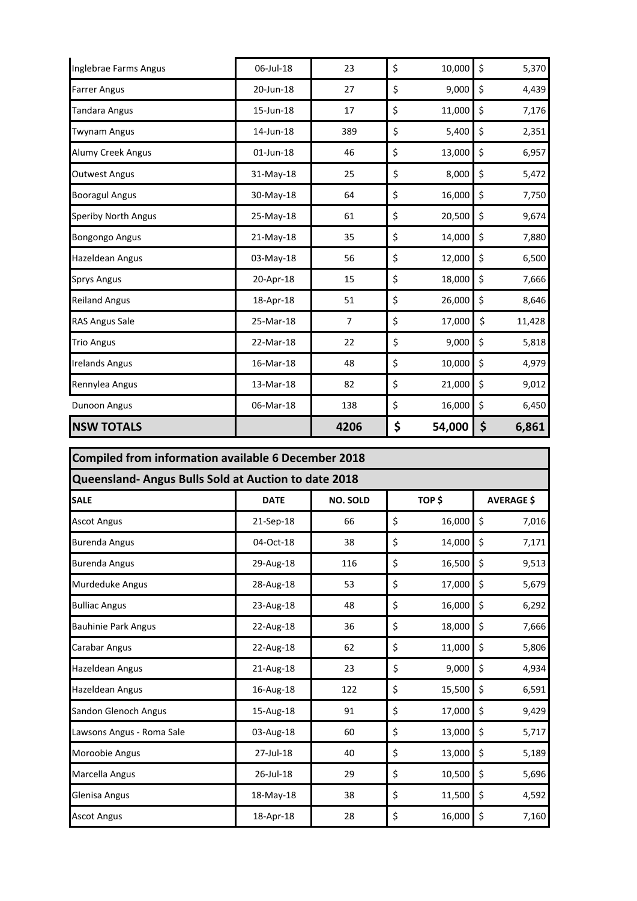| Inglebrae Farms Angus      | 06-Jul-18 | 23             | \$<br>10,000 | \$<br>5,370  |
|----------------------------|-----------|----------------|--------------|--------------|
| <b>Farrer Angus</b>        | 20-Jun-18 | 27             | \$<br>9,000  | \$<br>4,439  |
| <b>Tandara Angus</b>       | 15-Jun-18 | 17             | \$<br>11,000 | \$<br>7,176  |
| <b>Twynam Angus</b>        | 14-Jun-18 | 389            | \$<br>5,400  | \$<br>2,351  |
| <b>Alumy Creek Angus</b>   | 01-Jun-18 | 46             | \$<br>13,000 | \$<br>6,957  |
| <b>Outwest Angus</b>       | 31-May-18 | 25             | \$<br>8,000  | \$<br>5,472  |
| <b>Booragul Angus</b>      | 30-May-18 | 64             | \$<br>16,000 | \$<br>7,750  |
| <b>Speriby North Angus</b> | 25-May-18 | 61             | \$<br>20,500 | \$<br>9,674  |
| <b>Bongongo Angus</b>      | 21-May-18 | 35             | \$<br>14,000 | \$<br>7,880  |
| <b>Hazeldean Angus</b>     | 03-May-18 | 56             | \$<br>12,000 | \$<br>6,500  |
| <b>Sprys Angus</b>         | 20-Apr-18 | 15             | \$<br>18,000 | \$<br>7,666  |
| <b>Reiland Angus</b>       | 18-Apr-18 | 51             | \$<br>26,000 | \$<br>8,646  |
| <b>RAS Angus Sale</b>      | 25-Mar-18 | $\overline{7}$ | \$<br>17,000 | \$<br>11,428 |
| <b>Trio Angus</b>          | 22-Mar-18 | 22             | \$<br>9,000  | \$<br>5,818  |
| <b>Irelands Angus</b>      | 16-Mar-18 | 48             | \$<br>10,000 | \$<br>4,979  |
| Rennylea Angus             | 13-Mar-18 | 82             | \$<br>21,000 | \$<br>9,012  |
| Dunoon Angus               | 06-Mar-18 | 138            | \$<br>16,000 | \$<br>6,450  |
| <b>NSW TOTALS</b>          |           | 4206           | \$<br>54,000 | \$<br>6,861  |

| Compiled from information available 6 December 2018<br>Queensland- Angus Bulls Sold at Auction to date 2018 |           |     |    |        |    |       |  |
|-------------------------------------------------------------------------------------------------------------|-----------|-----|----|--------|----|-------|--|
|                                                                                                             |           |     |    |        |    |       |  |
| <b>Ascot Angus</b>                                                                                          | 21-Sep-18 | 66  | \$ | 16,000 | \$ | 7,016 |  |
| <b>Burenda Angus</b>                                                                                        | 04-Oct-18 | 38  | \$ | 14,000 | \$ | 7,171 |  |
| <b>Burenda Angus</b>                                                                                        | 29-Aug-18 | 116 | \$ | 16,500 | \$ | 9,513 |  |
| <b>Murdeduke Angus</b>                                                                                      | 28-Aug-18 | 53  | \$ | 17,000 | \$ | 5,679 |  |
| <b>Bulliac Angus</b>                                                                                        | 23-Aug-18 | 48  | \$ | 16,000 | \$ | 6,292 |  |
| <b>Bauhinie Park Angus</b>                                                                                  | 22-Aug-18 | 36  | \$ | 18,000 | \$ | 7,666 |  |
| <b>Carabar Angus</b>                                                                                        | 22-Aug-18 | 62  | \$ | 11,000 | \$ | 5,806 |  |
| <b>Hazeldean Angus</b>                                                                                      | 21-Aug-18 | 23  | \$ | 9,000  | \$ | 4,934 |  |
| <b>Hazeldean Angus</b>                                                                                      | 16-Aug-18 | 122 | \$ | 15,500 | \$ | 6,591 |  |
| Sandon Glenoch Angus                                                                                        | 15-Aug-18 | 91  | \$ | 17,000 | \$ | 9,429 |  |
| Lawsons Angus - Roma Sale                                                                                   | 03-Aug-18 | 60  | \$ | 13,000 | \$ | 5,717 |  |
| Moroobie Angus                                                                                              | 27-Jul-18 | 40  | \$ | 13,000 | \$ | 5,189 |  |
| Marcella Angus                                                                                              | 26-Jul-18 | 29  | \$ | 10,500 | \$ | 5,696 |  |
| Glenisa Angus                                                                                               | 18-May-18 | 38  | \$ | 11,500 | \$ | 4,592 |  |
| <b>Ascot Angus</b>                                                                                          | 18-Apr-18 | 28  | \$ | 16,000 | \$ | 7,160 |  |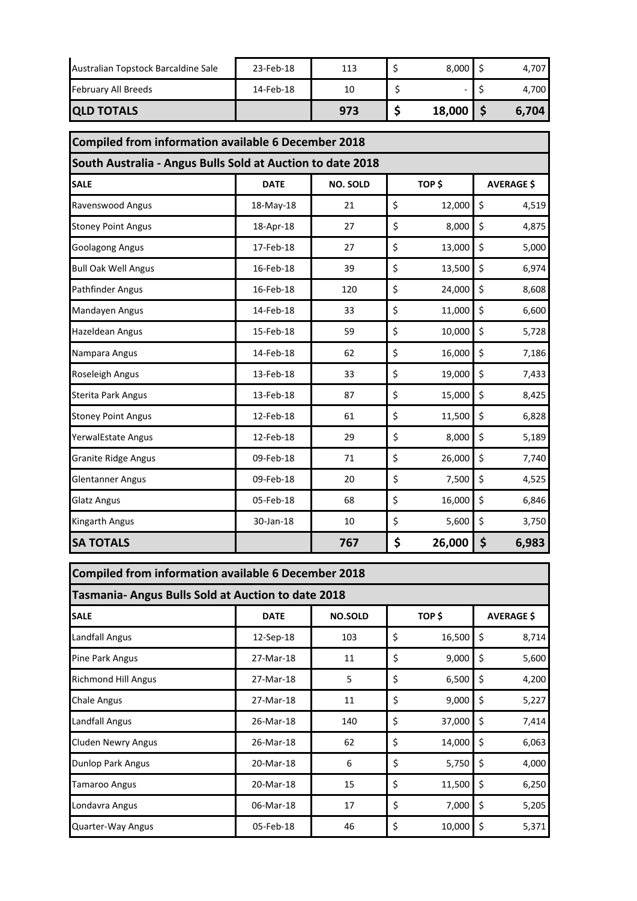| <b>QLD TOTALS</b>                   |           | 973 | 18,000 | 6,704 |
|-------------------------------------|-----------|-----|--------|-------|
| February All Breeds                 | 14-Feb-18 | 10  |        | 4.700 |
| Australian Topstock Barcaldine Sale | 23-Feb-18 | 113 | 8,000  | 4.707 |

|                            | <b>Compiled from information available 6 December 2018</b><br>South Australia - Angus Bulls Sold at Auction to date 2018 |                 |    |        |                   |       |  |  |
|----------------------------|--------------------------------------------------------------------------------------------------------------------------|-----------------|----|--------|-------------------|-------|--|--|
|                            |                                                                                                                          |                 |    |        |                   |       |  |  |
| <b>SALE</b>                | <b>DATE</b>                                                                                                              | <b>NO. SOLD</b> |    | TOP \$ | <b>AVERAGE \$</b> |       |  |  |
| Ravenswood Angus           | 18-May-18                                                                                                                | 21              | \$ | 12,000 | \$                | 4,519 |  |  |
| <b>Stoney Point Angus</b>  | 18-Apr-18                                                                                                                | 27              | \$ | 8,000  | \$                | 4,875 |  |  |
| Goolagong Angus            | 17-Feb-18                                                                                                                | 27              | \$ | 13,000 | \$                | 5,000 |  |  |
| <b>Bull Oak Well Angus</b> | 16-Feb-18                                                                                                                | 39              | \$ | 13,500 | \$                | 6,974 |  |  |
| Pathfinder Angus           | 16-Feb-18                                                                                                                | 120             | \$ | 24,000 | \$                | 8,608 |  |  |
| Mandayen Angus             | 14-Feb-18                                                                                                                | 33              | \$ | 11,000 | \$                | 6,600 |  |  |
| Hazeldean Angus            | 15-Feb-18                                                                                                                | 59              | \$ | 10,000 | \$                | 5,728 |  |  |
| Nampara Angus              | 14-Feb-18                                                                                                                | 62              | \$ | 16,000 | \$                | 7,186 |  |  |
| Roseleigh Angus            | 13-Feb-18                                                                                                                | 33              | \$ | 19,000 | \$                | 7,433 |  |  |
| Sterita Park Angus         | 13-Feb-18                                                                                                                | 87              | \$ | 15,000 | \$                | 8,425 |  |  |
| <b>Stoney Point Angus</b>  | 12-Feb-18                                                                                                                | 61              | \$ | 11,500 | \$                | 6,828 |  |  |
| YerwalEstate Angus         | 12-Feb-18                                                                                                                | 29              | \$ | 8,000  | \$                | 5,189 |  |  |
| <b>Granite Ridge Angus</b> | 09-Feb-18                                                                                                                | 71              | \$ | 26,000 | \$                | 7,740 |  |  |
| <b>Glentanner Angus</b>    | 09-Feb-18                                                                                                                | 20              | \$ | 7,500  | \$                | 4,525 |  |  |
| Glatz Angus                | 05-Feb-18                                                                                                                | 68              | \$ | 16,000 | \$                | 6,846 |  |  |
| Kingarth Angus             | 30-Jan-18                                                                                                                | 10              | \$ | 5,600  | \$                | 3,750 |  |  |
| <b>SA TOTALS</b>           |                                                                                                                          | 767             | \$ | 26,000 | \$                | 6,983 |  |  |

| <b>Compiled from information available 6 December 2018</b> |             |                          |    |        |                   |       |  |
|------------------------------------------------------------|-------------|--------------------------|----|--------|-------------------|-------|--|
| <b>Tasmania- Angus Bulls Sold at Auction to date 2018</b>  |             |                          |    |        |                   |       |  |
| <b>SALE</b>                                                | <b>DATE</b> | TOP \$<br><b>NO.SOLD</b> |    |        | <b>AVERAGE \$</b> |       |  |
| Landfall Angus                                             | 12-Sep-18   | 103                      | \$ | 16,500 | S                 | 8,714 |  |
| Pine Park Angus                                            | 27-Mar-18   | 11                       | \$ | 9,000  | \$                | 5,600 |  |
| <b>Richmond Hill Angus</b>                                 | 27-Mar-18   | 5                        | \$ | 6,500  | \$                | 4,200 |  |
| Chale Angus                                                | 27-Mar-18   | 11                       | \$ | 9,000  | \$                | 5,227 |  |
| Landfall Angus                                             | 26-Mar-18   | 140                      | \$ | 37,000 | \$                | 7,414 |  |
| <b>Cluden Newry Angus</b>                                  | 26-Mar-18   | 62                       | \$ | 14,000 | \$                | 6,063 |  |
| Dunlop Park Angus                                          | 20-Mar-18   | 6                        | \$ | 5,750  | \$                | 4,000 |  |
| Tamaroo Angus                                              | 20-Mar-18   | 15                       | \$ | 11,500 | \$                | 6,250 |  |
| Londavra Angus                                             | 06-Mar-18   | 17                       | \$ | 7,000  | \$                | 5,205 |  |
| Quarter-Way Angus                                          | 05-Feb-18   | 46                       | \$ | 10,000 | \$                | 5,371 |  |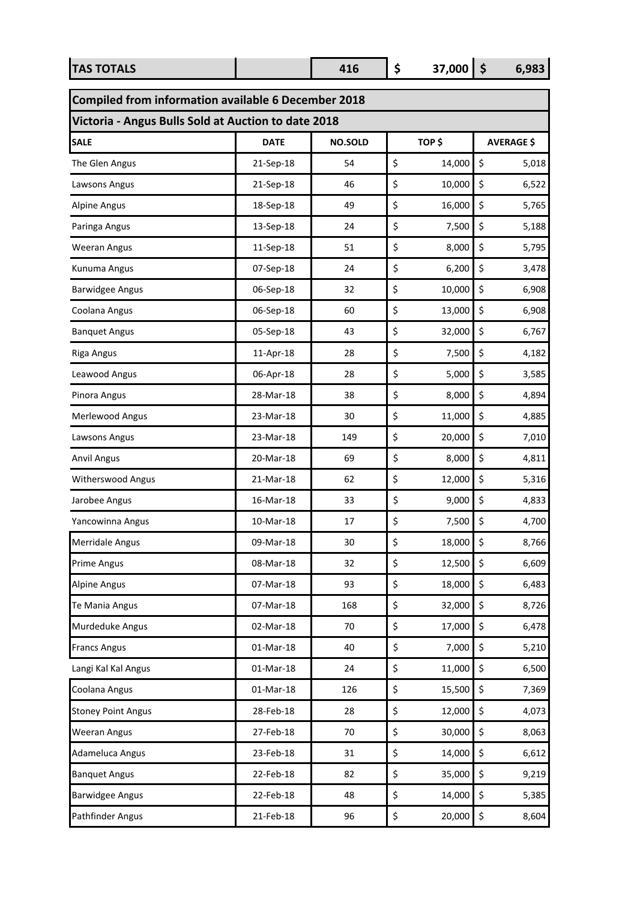| <b>TAS TOTALS</b>                                   |             | 416            | \$<br>37,000 | $\dot{\mathsf{s}}$ | 6,983             |
|-----------------------------------------------------|-------------|----------------|--------------|--------------------|-------------------|
| Compiled from information available 6 December 2018 |             |                |              |                    |                   |
| Victoria - Angus Bulls Sold at Auction to date 2018 |             |                |              |                    |                   |
| <b>SALE</b>                                         | <b>DATE</b> | <b>NO.SOLD</b> | TOP\$        |                    | <b>AVERAGE \$</b> |
| The Glen Angus                                      | 21-Sep-18   | 54             | \$<br>14,000 | \$                 | 5,018             |
| Lawsons Angus                                       | 21-Sep-18   | 46             | \$<br>10,000 | \$                 | 6,522             |
| <b>Alpine Angus</b>                                 | 18-Sep-18   | 49             | \$<br>16,000 | \$                 | 5,765             |
| Paringa Angus                                       | 13-Sep-18   | 24             | \$<br>7,500  | \$                 | 5,188             |
| <b>Weeran Angus</b>                                 | 11-Sep-18   | 51             | \$<br>8,000  | \$                 | 5,795             |
| Kunuma Angus                                        | 07-Sep-18   | 24             | \$<br>6,200  | \$                 | 3,478             |
| <b>Barwidgee Angus</b>                              | 06-Sep-18   | 32             | \$<br>10,000 | \$                 | 6,908             |
| Coolana Angus                                       | 06-Sep-18   | 60             | \$<br>13,000 | \$                 | 6,908             |
| <b>Banquet Angus</b>                                | 05-Sep-18   | 43             | \$<br>32,000 | \$                 | 6,767             |
| <b>Riga Angus</b>                                   | 11-Apr-18   | 28             | \$<br>7,500  | \$                 | 4,182             |
| Leawood Angus                                       | 06-Apr-18   | 28             | \$<br>5,000  | \$                 | 3,585             |
| Pinora Angus                                        | 28-Mar-18   | 38             | \$<br>8,000  | \$                 | 4,894             |
| Merlewood Angus                                     | 23-Mar-18   | 30             | \$<br>11,000 | \$                 | 4,885             |
| Lawsons Angus                                       | 23-Mar-18   | 149            | \$<br>20,000 | \$                 | 7,010             |
| <b>Anvil Angus</b>                                  | 20-Mar-18   | 69             | \$<br>8,000  | \$                 | 4,811             |
| Witherswood Angus                                   | 21-Mar-18   | 62             | \$<br>12,000 | \$                 | 5,316             |
| Jarobee Angus                                       | 16-Mar-18   | 33             | \$<br>9,000  | \$                 | 4,833             |
| Yancowinna Angus                                    | 10-Mar-18   | 17             | \$<br>7,500  | \$                 | 4,700             |
| <b>Merridale Angus</b>                              | 09-Mar-18   | 30             | \$<br>18,000 | \$                 | 8,766             |
| <b>Prime Angus</b>                                  | 08-Mar-18   | 32             | \$<br>12,500 | \$                 | 6,609             |
| <b>Alpine Angus</b>                                 | 07-Mar-18   | 93             | \$<br>18,000 | \$                 | 6,483             |
| Te Mania Angus                                      | 07-Mar-18   | 168            | \$<br>32,000 | \$                 | 8,726             |
| Murdeduke Angus                                     | 02-Mar-18   | 70             | \$<br>17,000 | \$                 | 6,478             |
| <b>Francs Angus</b>                                 | 01-Mar-18   | 40             | \$<br>7,000  | \$                 | 5,210             |
| Langi Kal Kal Angus                                 | 01-Mar-18   | 24             | \$<br>11,000 | \$                 | 6,500             |
| Coolana Angus                                       | $01-Mar-18$ | 126            | \$<br>15,500 | \$                 | 7,369             |
| <b>Stoney Point Angus</b>                           | 28-Feb-18   | 28             | \$<br>12,000 | \$                 | 4,073             |
| <b>Weeran Angus</b>                                 | 27-Feb-18   | 70             | \$<br>30,000 | \$                 | 8,063             |
| Adameluca Angus                                     | 23-Feb-18   | 31             | \$<br>14,000 | \$                 | 6,612             |
| <b>Banquet Angus</b>                                | 22-Feb-18   | 82             | \$<br>35,000 | \$                 | 9,219             |
| <b>Barwidgee Angus</b>                              | 22-Feb-18   | 48             | \$<br>14,000 | \$                 | 5,385             |
| Pathfinder Angus                                    | 21-Feb-18   | 96             | \$<br>20,000 | \$                 | 8,604             |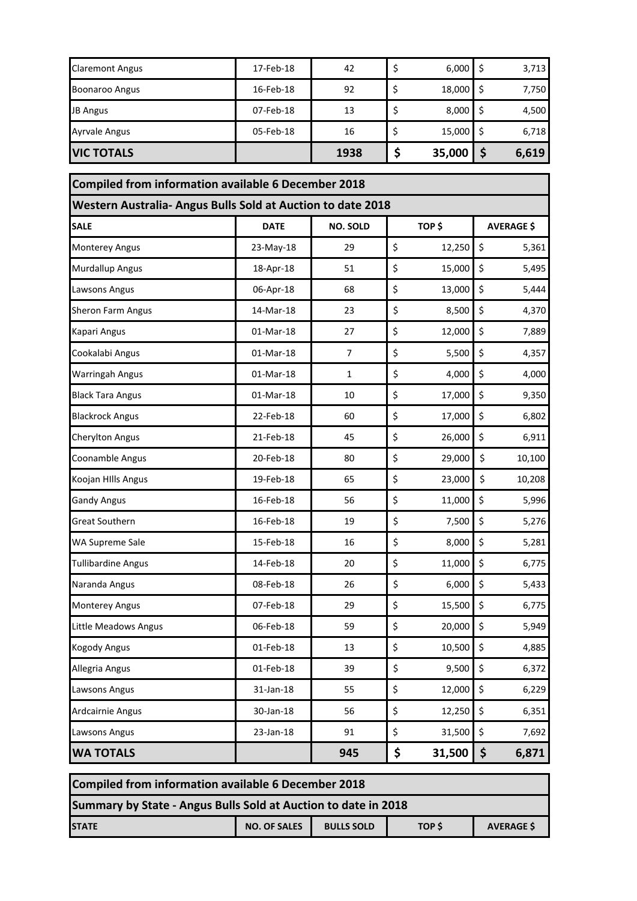| <b>VIC TOTALS</b>      |           | 1938 | 35,000 | 6,619 |
|------------------------|-----------|------|--------|-------|
| <b>Ayrvale Angus</b>   | 05-Feb-18 | 16   | 15,000 | 6,718 |
| <b>JB Angus</b>        | 07-Feb-18 | 13   | 8,000  | 4,500 |
| <b>Boonaroo Angus</b>  | 16-Feb-18 | 92   | 18,000 | 7,750 |
| <b>Claremont Angus</b> | 17-Feb-18 | 42   | 6,000  | 3,713 |

| Compiled from information available 6 December 2018         |             |                 |    |        |                   |  |  |
|-------------------------------------------------------------|-------------|-----------------|----|--------|-------------------|--|--|
| Western Australia- Angus Bulls Sold at Auction to date 2018 |             |                 |    |        |                   |  |  |
| <b>SALE</b>                                                 | <b>DATE</b> | <b>NO. SOLD</b> |    | TOP\$  | <b>AVERAGE \$</b> |  |  |
| <b>Monterey Angus</b>                                       | 23-May-18   | 29              | \$ | 12,250 | \$<br>5,361       |  |  |
| <b>Murdallup Angus</b>                                      | 18-Apr-18   | 51              | \$ | 15,000 | \$<br>5,495       |  |  |
| Lawsons Angus                                               | 06-Apr-18   | 68              | \$ | 13,000 | \$<br>5,444       |  |  |
| Sheron Farm Angus                                           | 14-Mar-18   | 23              | \$ | 8,500  | \$<br>4,370       |  |  |
| Kapari Angus                                                | 01-Mar-18   | 27              | \$ | 12,000 | \$<br>7,889       |  |  |
| Cookalabi Angus                                             | 01-Mar-18   | $\overline{7}$  | \$ | 5,500  | \$<br>4,357       |  |  |
| <b>Warringah Angus</b>                                      | 01-Mar-18   | 1               | \$ | 4,000  | \$<br>4,000       |  |  |
| <b>Black Tara Angus</b>                                     | 01-Mar-18   | 10              | \$ | 17,000 | \$<br>9,350       |  |  |
| <b>Blackrock Angus</b>                                      | 22-Feb-18   | 60              | \$ | 17,000 | \$<br>6,802       |  |  |
| <b>Cherylton Angus</b>                                      | 21-Feb-18   | 45              | \$ | 26,000 | \$<br>6,911       |  |  |
| Coonamble Angus                                             | 20-Feb-18   | 80              | \$ | 29,000 | \$<br>10,100      |  |  |
| Koojan HIlls Angus                                          | 19-Feb-18   | 65              | \$ | 23,000 | \$<br>10,208      |  |  |
| <b>Gandy Angus</b>                                          | 16-Feb-18   | 56              | \$ | 11,000 | \$<br>5,996       |  |  |
| <b>Great Southern</b>                                       | 16-Feb-18   | 19              | \$ | 7,500  | \$<br>5,276       |  |  |
| WA Supreme Sale                                             | 15-Feb-18   | 16              | \$ | 8,000  | \$<br>5,281       |  |  |
| <b>Tullibardine Angus</b>                                   | 14-Feb-18   | 20              | \$ | 11,000 | \$<br>6,775       |  |  |
| Naranda Angus                                               | 08-Feb-18   | 26              | \$ | 6,000  | \$<br>5,433       |  |  |
| <b>Monterey Angus</b>                                       | 07-Feb-18   | 29              | \$ | 15,500 | \$<br>6,775       |  |  |
| Little Meadows Angus                                        | 06-Feb-18   | 59              | \$ | 20,000 | \$<br>5,949       |  |  |
| <b>Kogody Angus</b>                                         | 01-Feb-18   | 13              | \$ | 10,500 | \$<br>4,885       |  |  |
| Allegria Angus                                              | 01-Feb-18   | 39              | \$ | 9,500  | \$<br>6,372       |  |  |
| Lawsons Angus                                               | 31-Jan-18   | 55              | \$ | 12,000 | \$<br>6,229       |  |  |
| Ardcairnie Angus                                            | 30-Jan-18   | 56              | \$ | 12,250 | \$<br>6,351       |  |  |
| Lawsons Angus                                               | 23-Jan-18   | 91              | \$ | 31,500 | \$<br>7,692       |  |  |
| <b>WA TOTALS</b>                                            |             | 945             | \$ | 31,500 | \$<br>6,871       |  |  |

| Compiled from information available 6 December 2018                                     |  |  |  |  |  |  |  |  |  |
|-----------------------------------------------------------------------------------------|--|--|--|--|--|--|--|--|--|
| Summary by State - Angus Bulls Sold at Auction to date in 2018                          |  |  |  |  |  |  |  |  |  |
| <b>NO. OF SALES</b><br><b>AVERAGE \$</b><br><b>BULLS SOLD</b><br>TOP \$<br><b>STATE</b> |  |  |  |  |  |  |  |  |  |